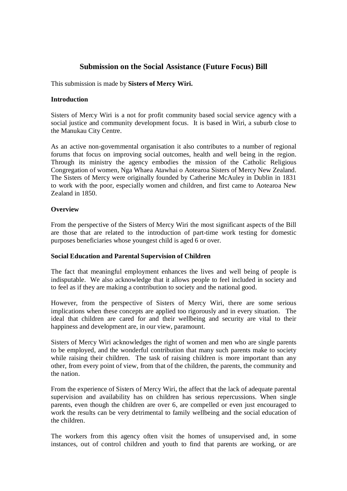# **Submission on the Social Assistance (Future Focus) Bill**

This submission is made by **Sisters of Mercy Wiri.**

## **Introduction**

Sisters of Mercy Wiri is a not for profit community based social service agency with a social justice and community development focus. It is based in Wiri, a suburb close to the Manukau City Centre.

As an active non-governmental organisation it also contributes to a number of regional forums that focus on improving social outcomes, health and well being in the region. Through its ministry the agency embodies the mission of the Catholic Religious Congregation of women, Nga Whaea Atawhai o Aotearoa Sisters of Mercy New Zealand. The Sisters of Mercy were originally founded by Catherine McAuley in Dublin in 1831 to work with the poor, especially women and children, and first came to Aotearoa New Zealand in 1850.

## **Overview**

From the perspective of the Sisters of Mercy Wiri the most significant aspects of the Bill are those that are related to the introduction of part-time work testing for domestic purposes beneficiaries whose youngest child is aged 6 or over.

## **Social Education and Parental Supervision of Children**

The fact that meaningful employment enhances the lives and well being of people is indisputable. We also acknowledge that it allows people to feel included in society and to feel as if they are making a contribution to society and the national good.

However, from the perspective of Sisters of Mercy Wiri, there are some serious implications when these concepts are applied too rigorously and in every situation. The ideal that children are cared for and their wellbeing and security are vital to their happiness and development are, in our view, paramount.

Sisters of Mercy Wiri acknowledges the right of women and men who are single parents to be employed, and the wonderful contribution that many such parents make to society while raising their children. The task of raising children is more important than any other, from every point of view, from that of the children, the parents, the community and the nation.

From the experience of Sisters of Mercy Wiri, the affect that the lack of adequate parental supervision and availability has on children has serious repercussions. When single parents, even though the children are over 6, are compelled or even just encouraged to work the results can be very detrimental to family wellbeing and the social education of the children.

The workers from this agency often visit the homes of unsupervised and, in some instances, out of control children and youth to find that parents are working, or are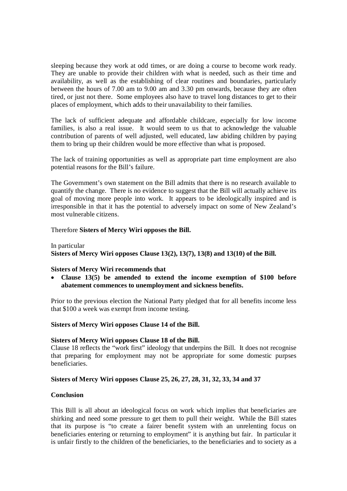sleeping because they work at odd times, or are doing a course to become work ready. They are unable to provide their children with what is needed, such as their time and availability, as well as the establishing of clear routines and boundaries, particularly between the hours of 7.00 am to 9.00 am and 3.30 pm onwards, because they are often tired, or just not there. Some employees also have to travel long distances to get to their places of employment, which adds to their unavailability to their families.

The lack of sufficient adequate and affordable childcare, especially for low income families, is also a real issue. It would seem to us that to acknowledge the valuable contribution of parents of well adjusted, well educated, law abiding children by paying them to bring up their children would be more effective than what is proposed.

The lack of training opportunities as well as appropriate part time employment are also potential reasons for the Bill's failure.

The Government's own statement on the Bill admits that there is no research available to quantify the change. There is no evidence to suggest that the Bill will actually achieve its goal of moving more people into work. It appears to be ideologically inspired and is irresponsible in that it has the potential to adversely impact on some of New Zealand's most vulnerable citizens.

Therefore **Sisters of Mercy Wiri opposes the Bill.**

In particular **Sisters of Mercy Wiri opposes Clause 13(2), 13(7), 13(8) and 13(10) of the Bill.**

## **Sisters of Mercy Wiri recommends that**

 **Clause 13(5) be amended to extend the income exemption of \$100 before abatement commences to unemployment and sickness benefits.**

Prior to the previous election the National Party pledged that for all benefits income less that \$100 a week was exempt from income testing.

### **Sisters of Mercy Wiri opposes Clause 14 of the Bill.**

### **Sisters of Mercy Wiri opposes Clause 18 of the Bill.**

Clause 18 reflects the "work first" ideology that underpins the Bill. It does not recognise that preparing for employment may not be appropriate for some domestic purpses beneficiaries.

### **Sisters of Mercy Wiri opposes Clause 25, 26, 27, 28, 31, 32, 33, 34 and 37**

### **Conclusion**

This Bill is all about an ideological focus on work which implies that beneficiaries are shirking and need some pressure to get them to pull their weight. While the Bill states that its purpose is "to create a fairer benefit system with an unrelenting focus on beneficiaries entering or returning to employment" it is anything but fair. In particular it is unfair firstly to the children of the beneficiaries, to the beneficiaries and to society as a